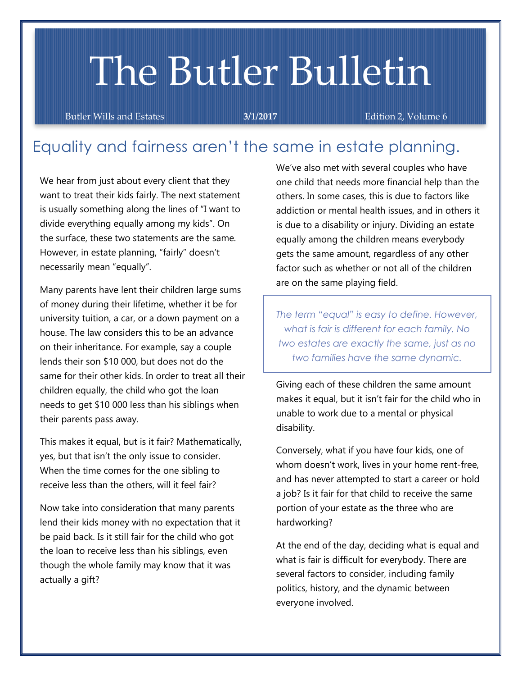# The Butler Bulletin

Butler Wills and Estates **3/1/2017** Edition 2, Volume 6

## Equality and fairness aren't the same in estate planning.

We hear from just about every client that they want to treat their kids fairly. The next statement is usually something along the lines of "I want to divide everything equally among my kids". On the surface, these two statements are the same. However, in estate planning, "fairly" doesn't necessarily mean "equally".

Many parents have lent their children large sums of money during their lifetime, whether it be for university tuition, a car, or a down payment on a house. The law considers this to be an advance on their inheritance. For example, say a couple lends their son \$10 000, but does not do the same for their other kids. In order to treat all their children equally, the child who got the loan needs to get \$10 000 less than his siblings when their parents pass away.

This makes it equal, but is it fair? Mathematically, yes, but that isn't the only issue to consider. When the time comes for the one sibling to receive less than the others, will it feel fair?

Now take into consideration that many parents lend their kids money with no expectation that it be paid back. Is it still fair for the child who got the loan to receive less than his siblings, even though the whole family may know that it was actually a gift?

We've also met with several couples who have one child that needs more financial help than the others. In some cases, this is due to factors like addiction or mental health issues, and in others it is due to a disability or injury. Dividing an estate equally among the children means everybody gets the same amount, regardless of any other factor such as whether or not all of the children are on the same playing field.

*The term "equal" is easy to define. However, what is fair is different for each family. No two estates are exactly the same, just as no two families have the same dynamic.* 

Giving each of these children the same amount makes it equal, but it isn't fair for the child who in unable to work due to a mental or physical disability.

Conversely, what if you have four kids, one of whom doesn't work, lives in your home rent-free, and has never attempted to start a career or hold a job? Is it fair for that child to receive the same portion of your estate as the three who are hardworking?

At the end of the day, deciding what is equal and what is fair is difficult for everybody. There are several factors to consider, including family politics, history, and the dynamic between everyone involved.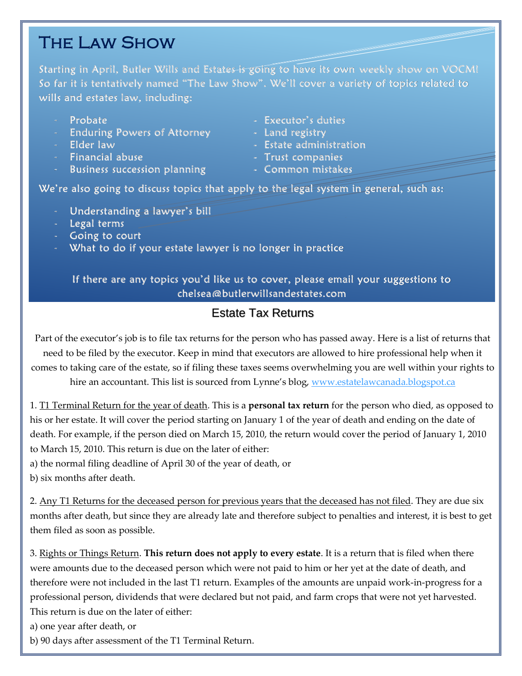## The Law Show

Starting in April, Butler Wills and Estates-is going to have its own weekly show on VOCM! So far it is tentatively named "The Law Show". We'll cover a variety of topics related to wills and estates law, including:

- 
- Enduring Powers of Attorney Land registry
- 
- Financial abuse Trust companies
- Business succession planning Common mistakes
- Probate Executor's duties
	-
- Elder law Estate administration
	-
	-

We're also going to discuss topics that apply to the legal system in general, such as:

- Understanding a lawyer's bill
- Legal terms
- Going to court
- What to do if your estate lawyer is no longer in practice

If there are any topics you'd like us to cover, please email your suggestions to [chelsea@butlerwillsandestates.com](mailto:chelsea@butlerwillsandestates.com) 

## Estate Tax Returns

Part of the executor's job is to file tax returns for the person who has passed away. Here is a list of returns that need to be filed by the executor. Keep in mind that executors are allowed to hire professional help when it comes to taking care of the estate, so if filing these taxes seems overwhelming you are well within your rights to

hire an accountant. This list is sourced from Lynne's blog, [www.estatelawcanada.blogspot.ca](http://www.estatelawcanada.blogspot.ca/)

1. T1 Terminal Return for the year of death. This is a **personal tax return** for the person who died, as opposed to his or her estate. It will cover the period starting on January 1 of the year of death and ending on the date of death. For example, if the person died on March 15, 2010, the return would cover the period of January 1, 2010 to March 15, 2010. This return is due on the later of either:

a) the normal filing deadline of April 30 of the year of death, or

b) six months after death.

2. Any T1 Returns for the deceased person for previous years that the deceased has not filed. They are due six months after death, but since they are already late and therefore subject to penalties and interest, it is best to get them filed as soon as possible.

3. Rights or Things Return. **This return does not apply to every estate**. It is a return that is filed when there were amounts due to the deceased person which were not paid to him or her yet at the date of death, and therefore were not included in the last T1 return. Examples of the amounts are unpaid work-in-progress for a professional person, dividends that were declared but not paid, and farm crops that were not yet harvested. This return is due on the later of either:

a) one year after death, or

b) 90 days after assessment of the T1 Terminal Return.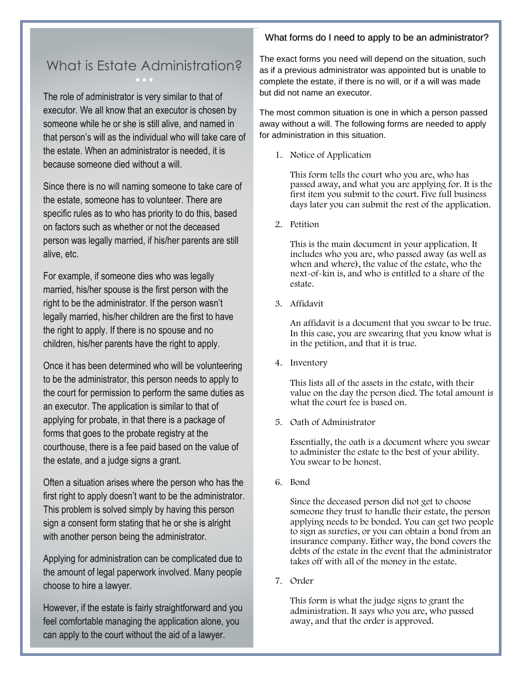#### What forms do I need to apply to be an administrator?

# What is Estate Administration?

The role of administrator is very similar to that of executor. We all know that an executor is chosen by someone while he or she is still alive, and named in that person's will as the individual who will take care of the estate. When an administrator is needed, it is because someone died without a will

Since there is no will naming someone to take care of the estate, someone has to volunteer. There are specific rules as to who has priority to do this, based on factors such as whether or not the deceased person was legally married, if his/her parents are still alive, etc.

For example, if someone dies who was legally married, his/her spouse is the first person with the right to be the administrator. If the person wasn't legally married, his/her children are the first to have the right to apply. If there is no spouse and no children, his/her parents have the right to apply.

Once it has been determined who will be volunteering to be the administrator, this person needs to apply to the court for permission to perform the same duties as an executor. The application is similar to that of applying for probate, in that there is a package of forms that goes to the probate registry at the courthouse, there is a fee paid based on the value of the estate, and a judge signs a grant.

Often a situation arises where the person who has the first right to apply doesn't want to be the administrator. This problem is solved simply by having this person sign a consent form stating that he or she is alright with another person being the administrator.

Applying for administration can be complicated due to the amount of legal paperwork involved. Many people choose to hire a lawyer.

However, if the estate is fairly straightforward and you feel comfortable managing the application alone, you can apply to the court without the aid of a lawyer.

The exact forms you need will depend on the situation, such as if a previous administrator was appointed but is unable to complete the estate, if there is no will, or if a will was made but did not name an executor.

The most common situation is one in which a person passed away without a will. The following forms are needed to apply for administration in this situation.

1. Notice of Application

This form tells the court who you are, who has passed away, and what you are applying for. It is the first item you submit to the court. Five full business days later you can submit the rest of the application.

2. Petition

This is the main document in your application. It includes who you are, who passed away (as well as when and where), the value of the estate, who the next-of-kin is, and who is entitled to a share of the estate.

3. Affidavit

An affidavit is a document that you swear to be true. In this case, you are swearing that you know what is in the petition, and that it is true.

4. Inventory

This lists all of the assets in the estate, with their value on the day the person died. The total amount is what the court fee is based on.

5. Oath of Administrator

Essentially, the oath is a document where you swear to administer the estate to the best of your ability. You swear to be honest.

6. Bond

Since the deceased person did not get to choose someone they trust to handle their estate, the person applying needs to be bonded. You can get two people to sign as sureties, or you can obtain a bond from an insurance company. Either way, the bond covers the debts of the estate in the event that the administrator takes off with all of the money in the estate.

7. Order

This form is what the judge signs to grant the administration. It says who you are, who passed away, and that the order is approved.